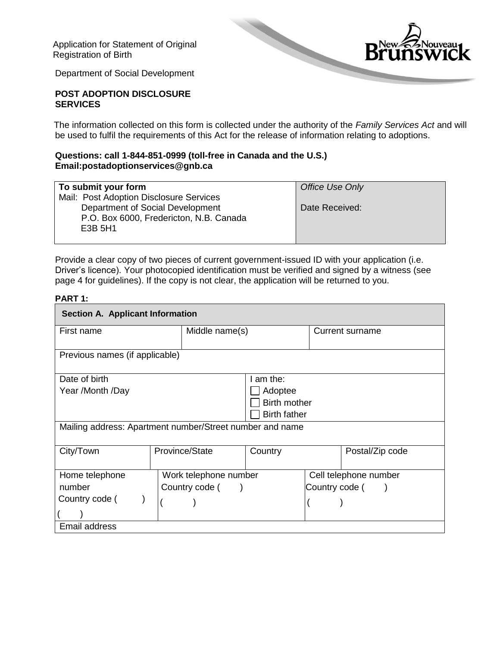Application for Statement of Original Registration of Birth



Department of Social Development

### **POST ADOPTION DISCLOSURE SERVICES**

The information collected on this form is collected under the authority of the *Family Services Act* and will be used to fulfil the requirements of this Act for the release of information relating to adoptions.

### **Questions: call 1-844-851-0999 (toll-free in Canada and the U.S.) Email:postadoptionservices@gnb.ca**

| To submit your form                     | Office Use Only |
|-----------------------------------------|-----------------|
| Mail: Post Adoption Disclosure Services |                 |
| Department of Social Development        | Date Received:  |
| P.O. Box 6000, Fredericton, N.B. Canada |                 |
| E3B 5H1                                 |                 |
|                                         |                 |

Provide a clear copy of two pieces of current government-issued ID with your application (i.e. Driver's licence). Your photocopied identification must be verified and signed by a witness (see page 4 for guidelines). If the copy is not clear, the application will be returned to you.

#### **PART 1:**

| <b>Section A. Applicant Information</b>                  |                       |                |  |                       |  |  |  |
|----------------------------------------------------------|-----------------------|----------------|--|-----------------------|--|--|--|
| First name                                               |                       | Middle name(s) |  | Current surname       |  |  |  |
|                                                          |                       |                |  |                       |  |  |  |
| Previous names (if applicable)                           |                       |                |  |                       |  |  |  |
| Date of birth                                            |                       | I am the:      |  |                       |  |  |  |
| Year /Month /Day                                         |                       | Adoptee        |  |                       |  |  |  |
|                                                          | <b>Birth mother</b>   |                |  |                       |  |  |  |
| <b>Birth father</b>                                      |                       |                |  |                       |  |  |  |
| Mailing address: Apartment number/Street number and name |                       |                |  |                       |  |  |  |
| City/Town                                                | Province/State        | Country        |  | Postal/Zip code       |  |  |  |
| Home telephone                                           | Work telephone number |                |  | Cell telephone number |  |  |  |
| number                                                   | Country code (        |                |  | Country code (        |  |  |  |
| Country code (                                           |                       |                |  |                       |  |  |  |
|                                                          |                       |                |  |                       |  |  |  |
| Email address                                            |                       |                |  |                       |  |  |  |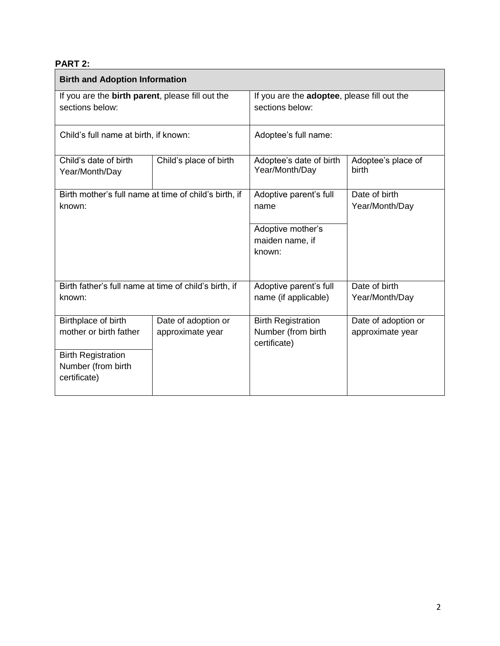# **PART 2:**

| <b>Birth and Adoption Information</b>                               |                                         |                                                                 |                                         |  |  |
|---------------------------------------------------------------------|-----------------------------------------|-----------------------------------------------------------------|-----------------------------------------|--|--|
| If you are the birth parent, please fill out the<br>sections below: |                                         | If you are the adoptee, please fill out the<br>sections below:  |                                         |  |  |
| Child's full name at birth, if known:                               |                                         | Adoptee's full name:                                            |                                         |  |  |
| Child's date of birth<br>Year/Month/Day                             | Child's place of birth                  | Adoptee's date of birth<br>Year/Month/Day                       | Adoptee's place of<br>birth             |  |  |
| Birth mother's full name at time of child's birth, if<br>known:     |                                         | Adoptive parent's full<br>name                                  | Date of birth<br>Year/Month/Day         |  |  |
|                                                                     |                                         | Adoptive mother's<br>maiden name, if<br>known:                  |                                         |  |  |
| Birth father's full name at time of child's birth, if<br>known:     |                                         | Adoptive parent's full<br>name (if applicable)                  | Date of birth<br>Year/Month/Day         |  |  |
| Birthplace of birth<br>mother or birth father                       | Date of adoption or<br>approximate year | <b>Birth Registration</b><br>Number (from birth<br>certificate) | Date of adoption or<br>approximate year |  |  |
| <b>Birth Registration</b><br>Number (from birth<br>certificate)     |                                         |                                                                 |                                         |  |  |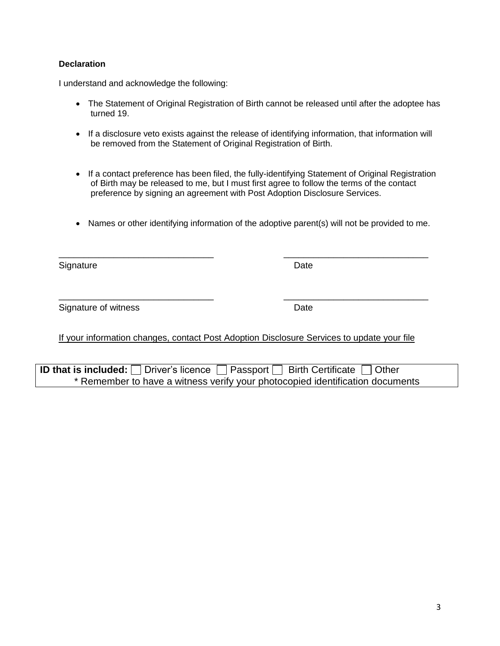### **Declaration**

I understand and acknowledge the following:

- The Statement of Original Registration of Birth cannot be released until after the adoptee has turned 19.
- If a disclosure veto exists against the release of identifying information, that information will be removed from the Statement of Original Registration of Birth.
- If a contact preference has been filed, the fully-identifying Statement of Original Registration of Birth may be released to me, but I must first agree to follow the terms of the contact preference by signing an agreement with Post Adoption Disclosure Services.
- Names or other identifying information of the adoptive parent(s) will not be provided to me.

 $\overline{\phantom{a}}$  , and the contribution of the contribution of the contribution of the contribution of the contribution of the contribution of the contribution of the contribution of the contribution of the contribution of the

 $\overline{\phantom{a}}$  , and the contribution of the contribution of the contribution of the contribution of the contribution of the contribution of the contribution of the contribution of the contribution of the contribution of the

Signature Date **Date** 

Signature of witness Date Date Date

If your information changes, contact Post Adoption Disclosure Services to update your file

**ID that is included:**  $\Box$  Driver's licence  $\Box$  Passport  $\Box$  Birth Certificate  $\Box$  Other \* Remember to have a witness verify your photocopied identification documents